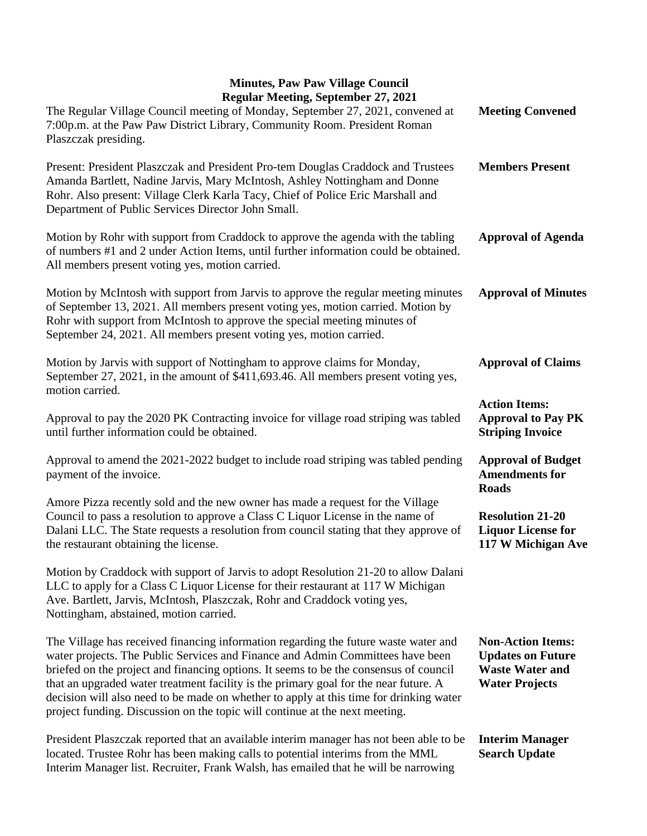## **Minutes, Paw Paw Village Council Regular Meeting, September 27, 2021**

| Regular Meeting, September 27, 2021<br>The Regular Village Council meeting of Monday, September 27, 2021, convened at<br>7:00p.m. at the Paw Paw District Library, Community Room. President Roman<br>Plaszczak presiding.                                                                                                                                                                                                                                                                                                      | <b>Meeting Convened</b>                                                                                 |
|---------------------------------------------------------------------------------------------------------------------------------------------------------------------------------------------------------------------------------------------------------------------------------------------------------------------------------------------------------------------------------------------------------------------------------------------------------------------------------------------------------------------------------|---------------------------------------------------------------------------------------------------------|
| Present: President Plaszczak and President Pro-tem Douglas Craddock and Trustees<br>Amanda Bartlett, Nadine Jarvis, Mary McIntosh, Ashley Nottingham and Donne<br>Rohr. Also present: Village Clerk Karla Tacy, Chief of Police Eric Marshall and<br>Department of Public Services Director John Small.                                                                                                                                                                                                                         | <b>Members Present</b>                                                                                  |
| Motion by Rohr with support from Craddock to approve the agenda with the tabling<br>of numbers #1 and 2 under Action Items, until further information could be obtained.<br>All members present voting yes, motion carried.                                                                                                                                                                                                                                                                                                     | <b>Approval of Agenda</b>                                                                               |
| Motion by McIntosh with support from Jarvis to approve the regular meeting minutes<br>of September 13, 2021. All members present voting yes, motion carried. Motion by<br>Rohr with support from McIntosh to approve the special meeting minutes of<br>September 24, 2021. All members present voting yes, motion carried.                                                                                                                                                                                                      | <b>Approval of Minutes</b>                                                                              |
| Motion by Jarvis with support of Nottingham to approve claims for Monday,<br>September 27, 2021, in the amount of \$411,693.46. All members present voting yes,<br>motion carried.                                                                                                                                                                                                                                                                                                                                              | <b>Approval of Claims</b>                                                                               |
| Approval to pay the 2020 PK Contracting invoice for village road striping was tabled<br>until further information could be obtained.                                                                                                                                                                                                                                                                                                                                                                                            | <b>Action Items:</b><br><b>Approval to Pay PK</b><br><b>Striping Invoice</b>                            |
| Approval to amend the 2021-2022 budget to include road striping was tabled pending<br>payment of the invoice.                                                                                                                                                                                                                                                                                                                                                                                                                   | <b>Approval of Budget</b><br><b>Amendments for</b><br><b>Roads</b>                                      |
| Amore Pizza recently sold and the new owner has made a request for the Village<br>Council to pass a resolution to approve a Class C Liquor License in the name of<br>Dalani LLC. The State requests a resolution from council stating that they approve of<br>the restaurant obtaining the license.                                                                                                                                                                                                                             | <b>Resolution 21-20</b><br><b>Liquor License for</b><br>117 W Michigan Ave                              |
| Motion by Craddock with support of Jarvis to adopt Resolution 21-20 to allow Dalani<br>LLC to apply for a Class C Liquor License for their restaurant at 117 W Michigan<br>Ave. Bartlett, Jarvis, McIntosh, Plaszczak, Rohr and Craddock voting yes,<br>Nottingham, abstained, motion carried.                                                                                                                                                                                                                                  |                                                                                                         |
| The Village has received financing information regarding the future waste water and<br>water projects. The Public Services and Finance and Admin Committees have been<br>briefed on the project and financing options. It seems to be the consensus of council<br>that an upgraded water treatment facility is the primary goal for the near future. A<br>decision will also need to be made on whether to apply at this time for drinking water<br>project funding. Discussion on the topic will continue at the next meeting. | <b>Non-Action Items:</b><br><b>Updates on Future</b><br><b>Waste Water and</b><br><b>Water Projects</b> |
| President Plaszczak reported that an available interim manager has not been able to be<br>located. Trustee Rohr has been making calls to potential interims from the MML<br>Interim Manager list. Recruiter, Frank Walsh, has emailed that he will be narrowing                                                                                                                                                                                                                                                                 | <b>Interim Manager</b><br><b>Search Update</b>                                                          |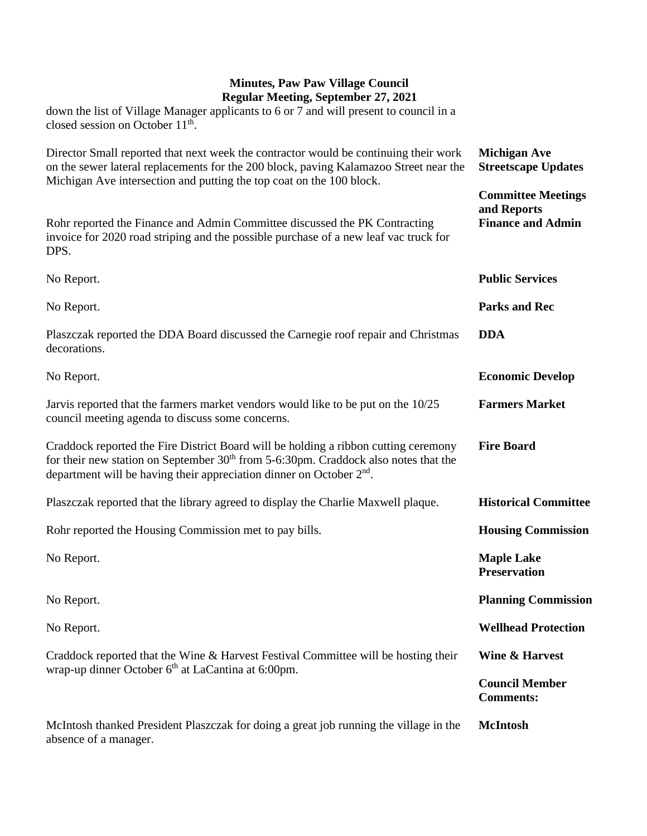## **Minutes, Paw Paw Village Council Regular Meeting, September 27, 2021** down the list of Village Manager applicants to 6 or 7 and will present to council in a

closed session on October 11<sup>th</sup>. Director Small reported that next week the contractor would be continuing their work on the sewer lateral replacements for the 200 block, paving Kalamazoo Street near the Michigan Ave intersection and putting the top coat on the 100 block. Rohr reported the Finance and Admin Committee discussed the PK Contracting invoice for 2020 road striping and the possible purchase of a new leaf vac truck for DPS. No Report. No Report. Plaszczak reported the DDA Board discussed the Carnegie roof repair and Christmas decorations. No Report. Jarvis reported that the farmers market vendors would like to be put on the 10/25 council meeting agenda to discuss some concerns. Craddock reported the Fire District Board will be holding a ribbon cutting ceremony for their new station on September  $30<sup>th</sup>$  from 5-6:30pm. Craddock also notes that the department will be having their appreciation dinner on October 2<sup>nd</sup>. Plaszczak reported that the library agreed to display the Charlie Maxwell plaque. Rohr reported the Housing Commission met to pay bills. No Report. No Report. No Report. Craddock reported that the Wine & Harvest Festival Committee will be hosting their wrap-up dinner October 6<sup>th</sup> at LaCantina at 6:00pm. McIntosh thanked President Plaszczak for doing a great job running the village in the absence of a manager. **Michigan Ave Streetscape Updates Committee Meetings and Reports Finance and Admin Public Services Parks and Rec DDA Economic Develop Farmers Market Fire Board Historical Committee Housing Commission Maple Lake Preservation Planning Commission Wellhead Protection Wine & Harvest Council Member Comments: McIntosh**